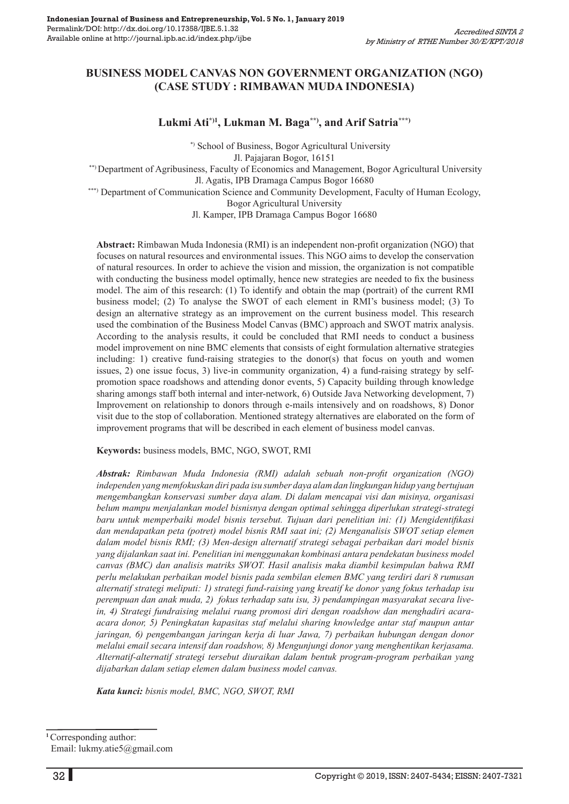# **BUSINESS MODEL CANVAS NON GOVERNMENT ORGANIZATION (NGO) (CASE STUDY : RIMBAWAN MUDA INDONESIA)**

#### **Lukmi Ati\*)1, Lukman M. Baga\*\*), and Arif Satria\*\*\*)**

 \*) School of Business, Bogor Agricultural University Jl. Pajajaran Bogor, 16151 \*\*) Department of Agribusiness, Faculty of Economics and Management, Bogor Agricultural University Jl. Agatis, IPB Dramaga Campus Bogor 16680

\*\*\*) Department of Communication Science and Community Development, Faculty of Human Ecology, Bogor Agricultural University

Jl. Kamper, IPB Dramaga Campus Bogor 16680

**Abstract:** Rimbawan Muda Indonesia (RMI) is an independent non-profit organization (NGO) that focuses on natural resources and environmental issues. This NGO aims to develop the conservation of natural resources. In order to achieve the vision and mission, the organization is not compatible with conducting the business model optimally, hence new strategies are needed to fix the business model. The aim of this research: (1) To identify and obtain the map (portrait) of the current RMI business model; (2) To analyse the SWOT of each element in RMI's business model; (3) To design an alternative strategy as an improvement on the current business model. This research used the combination of the Business Model Canvas (BMC) approach and SWOT matrix analysis. According to the analysis results, it could be concluded that RMI needs to conduct a business model improvement on nine BMC elements that consists of eight formulation alternative strategies including: 1) creative fund-raising strategies to the donor(s) that focus on youth and women issues, 2) one issue focus, 3) live-in community organization, 4) a fund-raising strategy by selfpromotion space roadshows and attending donor events, 5) Capacity building through knowledge sharing amongs staff both internal and inter-network, 6) Outside Java Networking development, 7) Improvement on relationship to donors through e-mails intensively and on roadshows, 8) Donor visit due to the stop of collaboration. Mentioned strategy alternatives are elaborated on the form of improvement programs that will be described in each element of business model canvas.

**Keywords:** business models, BMC, NGO, SWOT, RMI

*Abstrak: Rimbawan Muda Indonesia (RMI) adalah sebuah non-profit organization (NGO) independen yang memfokuskan diri pada isu sumber daya alam dan lingkungan hidup yang bertujuan mengembangkan konservasi sumber daya alam. Di dalam mencapai visi dan misinya, organisasi belum mampu menjalankan model bisnisnya dengan optimal sehingga diperlukan strategi-strategi baru untuk memperbaiki model bisnis tersebut. Tujuan dari penelitian ini: (1) Mengidentifikasi dan mendapatkan peta (potret) model bisnis RMI saat ini; (2) Menganalisis SWOT setiap elemen dalam model bisnis RMI; (3) Men-design alternatif strategi sebagai perbaikan dari model bisnis yang dijalankan saat ini. Penelitian ini menggunakan kombinasi antara pendekatan business model canvas (BMC) dan analisis matriks SWOT. Hasil analisis maka diambil kesimpulan bahwa RMI perlu melakukan perbaikan model bisnis pada sembilan elemen BMC yang terdiri dari 8 rumusan alternatif strategi meliputi: 1) strategi fund-raising yang kreatif ke donor yang fokus terhadap isu perempuan dan anak muda, 2) fokus terhadap satu isu, 3) pendampingan masyarakat secara livein, 4) Strategi fundraising melalui ruang promosi diri dengan roadshow dan menghadiri acaraacara donor, 5) Peningkatan kapasitas staf melalui sharing knowledge antar staf maupun antar jaringan, 6) pengembangan jaringan kerja di luar Jawa, 7) perbaikan hubungan dengan donor melalui email secara intensif dan roadshow, 8) Mengunjungi donor yang menghentikan kerjasama. Alternatif-alternatif strategi tersebut diuraikan dalam bentuk program-program perbaikan yang dijabarkan dalam setiap elemen dalam business model canvas.* 

*Kata kunci: bisnis model, BMC, NGO, SWOT, RMI*

**<sup>1</sup>**Corresponding author: Email: lukmy.atie5@gmail.com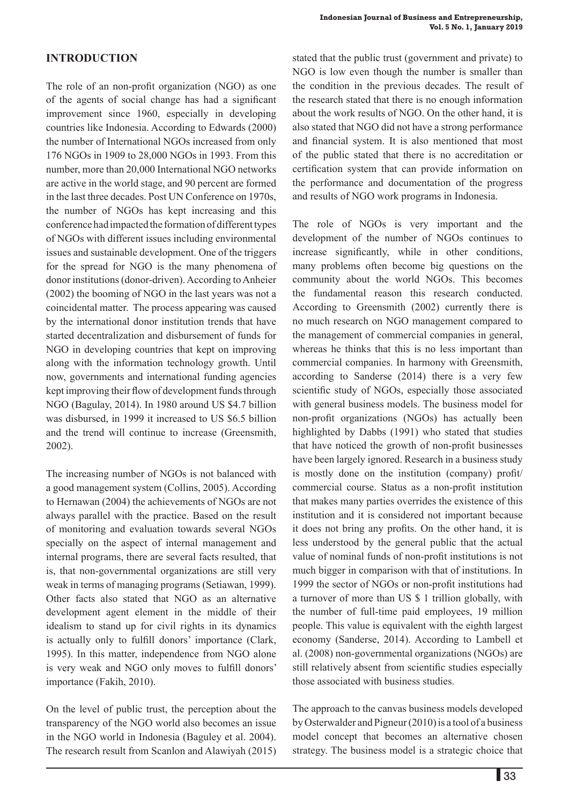# **INTRODUCTION**

The role of an non-profit organization (NGO) as one of the agents of social change has had a significant improvement since 1960, especially in developing countries like Indonesia. According to Edwards (2000) the number of International NGOs increased from only 176 NGOs in 1909 to 28,000 NGOs in 1993. From this number, more than 20,000 International NGO networks are active in the world stage, and 90 percent are formed in the last three decades. Post UN Conference on 1970s, the number of NGOs has kept increasing and this conference had impacted the formation of different types of NGOs with different issues including environmental issues and sustainable development. One of the triggers for the spread for NGO is the many phenomena of donor institutions (donor-driven). According to Anheier (2002) the booming of NGO in the last years was not a coincidental matter. The process appearing was caused by the international donor institution trends that have started decentralization and disbursement of funds for NGO in developing countries that kept on improving along with the information technology growth. Until now, governments and international funding agencies kept improving their flow of development funds through NGO (Bagulay, 2014). In 1980 around US \$4.7 billion was disbursed, in 1999 it increased to US \$6.5 billion and the trend will continue to increase (Greensmith, 2002).

The increasing number of NGOs is not balanced with a good management system (Collins, 2005). According to Hernawan (2004) the achievements of NGOs are not always parallel with the practice. Based on the result of monitoring and evaluation towards several NGOs specially on the aspect of internal management and internal programs, there are several facts resulted, that is, that non-governmental organizations are still very weak in terms of managing programs (Setiawan, 1999). Other facts also stated that NGO as an alternative development agent element in the middle of their idealism to stand up for civil rights in its dynamics is actually only to fulfill donors' importance (Clark, 1995). In this matter, independence from NGO alone is very weak and NGO only moves to fulfill donors' importance (Fakih, 2010).

On the level of public trust, the perception about the transparency of the NGO world also becomes an issue in the NGO world in Indonesia (Baguley et al. 2004). The research result from Scanlon and Alawiyah (2015) stated that the public trust (government and private) to NGO is low even though the number is smaller than the condition in the previous decades. The result of the research stated that there is no enough information about the work results of NGO. On the other hand, it is also stated that NGO did not have a strong performance and financial system. It is also mentioned that most of the public stated that there is no accreditation or certification system that can provide information on the performance and documentation of the progress and results of NGO work programs in Indonesia.

The role of NGOs is very important and the development of the number of NGOs continues to increase significantly, while in other conditions, many problems often become big questions on the community about the world NGOs. This becomes the fundamental reason this research conducted. According to Greensmith (2002) currently there is no much research on NGO management compared to the management of commercial companies in general, whereas he thinks that this is no less important than commercial companies. In harmony with Greensmith, according to Sanderse (2014) there is a very few scientific study of NGOs, especially those associated with general business models. The business model for non-profit organizations (NGOs) has actually been highlighted by Dabbs (1991) who stated that studies that have noticed the growth of non-profit businesses have been largely ignored. Research in a business study is mostly done on the institution (company) profit/ commercial course. Status as a non-profit institution that makes many parties overrides the existence of this institution and it is considered not important because it does not bring any profits. On the other hand, it is less understood by the general public that the actual value of nominal funds of non-profit institutions is not much bigger in comparison with that of institutions. In 1999 the sector of NGOs or non-profit institutions had a turnover of more than US \$ 1 trillion globally, with the number of full-time paid employees, 19 million people. This value is equivalent with the eighth largest economy (Sanderse, 2014). According to Lambell et al. (2008) non-governmental organizations (NGOs) are still relatively absent from scientific studies especially those associated with business studies.

The approach to the canvas business models developed by Osterwalder and Pigneur (2010) is a tool of a business model concept that becomes an alternative chosen strategy. The business model is a strategic choice that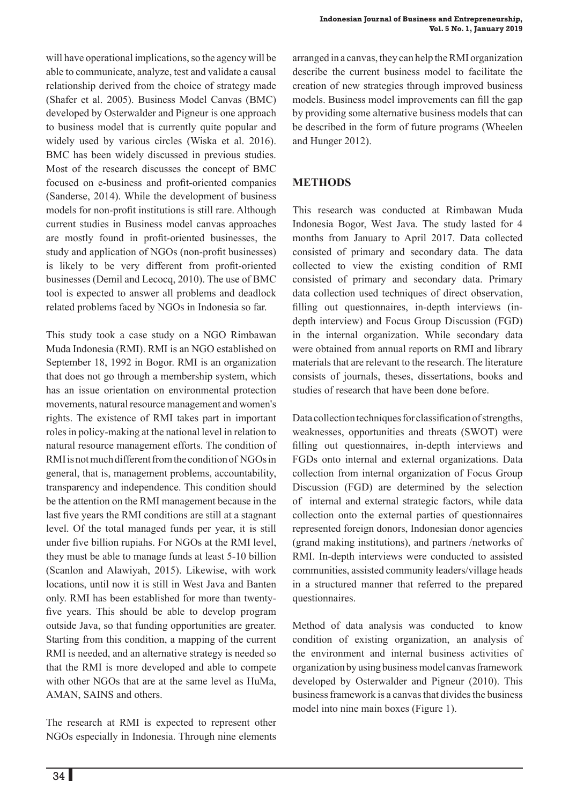will have operational implications, so the agency will be able to communicate, analyze, test and validate a causal relationship derived from the choice of strategy made (Shafer et al. 2005). Business Model Canvas (BMC) developed by Osterwalder and Pigneur is one approach to business model that is currently quite popular and widely used by various circles (Wiska et al. 2016). BMC has been widely discussed in previous studies. Most of the research discusses the concept of BMC focused on e-business and profit-oriented companies (Sanderse, 2014). While the development of business models for non-profit institutions is still rare. Although current studies in Business model canvas approaches are mostly found in profit-oriented businesses, the study and application of NGOs (non-profit businesses) is likely to be very different from profit-oriented businesses (Demil and Lecocq, 2010). The use of BMC tool is expected to answer all problems and deadlock related problems faced by NGOs in Indonesia so far.

This study took a case study on a NGO Rimbawan Muda Indonesia (RMI). RMI is an NGO established on September 18, 1992 in Bogor. RMI is an organization that does not go through a membership system, which has an issue orientation on environmental protection movements, natural resource management and women's rights. The existence of RMI takes part in important roles in policy-making at the national level in relation to natural resource management efforts. The condition of RMI is not much different from the condition of NGOs in general, that is, management problems, accountability, transparency and independence. This condition should be the attention on the RMI management because in the last five years the RMI conditions are still at a stagnant level. Of the total managed funds per year, it is still under five billion rupiahs. For NGOs at the RMI level, they must be able to manage funds at least 5-10 billion (Scanlon and Alawiyah, 2015). Likewise, with work locations, until now it is still in West Java and Banten only. RMI has been established for more than twentyfive years. This should be able to develop program outside Java, so that funding opportunities are greater. Starting from this condition, a mapping of the current RMI is needed, and an alternative strategy is needed so that the RMI is more developed and able to compete with other NGOs that are at the same level as HuMa, AMAN, SAINS and others.

The research at RMI is expected to represent other NGOs especially in Indonesia. Through nine elements

arranged in a canvas, they can help the RMI organization describe the current business model to facilitate the creation of new strategies through improved business models. Business model improvements can fill the gap by providing some alternative business models that can be described in the form of future programs (Wheelen and Hunger 2012).

# **METHODS**

This research was conducted at Rimbawan Muda Indonesia Bogor, West Java. The study lasted for 4 months from January to April 2017. Data collected consisted of primary and secondary data. The data collected to view the existing condition of RMI consisted of primary and secondary data. Primary data collection used techniques of direct observation, filling out questionnaires, in-depth interviews (indepth interview) and Focus Group Discussion (FGD) in the internal organization. While secondary data were obtained from annual reports on RMI and library materials that are relevant to the research. The literature consists of journals, theses, dissertations, books and studies of research that have been done before.

Data collection techniques for classification of strengths, weaknesses, opportunities and threats (SWOT) were filling out questionnaires, in-depth interviews and FGDs onto internal and external organizations. Data collection from internal organization of Focus Group Discussion (FGD) are determined by the selection of internal and external strategic factors, while data collection onto the external parties of questionnaires represented foreign donors, Indonesian donor agencies (grand making institutions), and partners /networks of RMI. In-depth interviews were conducted to assisted communities, assisted community leaders/village heads in a structured manner that referred to the prepared questionnaires.

Method of data analysis was conducted to know condition of existing organization, an analysis of the environment and internal business activities of organization by using business model canvas framework developed by Osterwalder and Pigneur (2010). This business framework is a canvas that divides the business model into nine main boxes (Figure 1).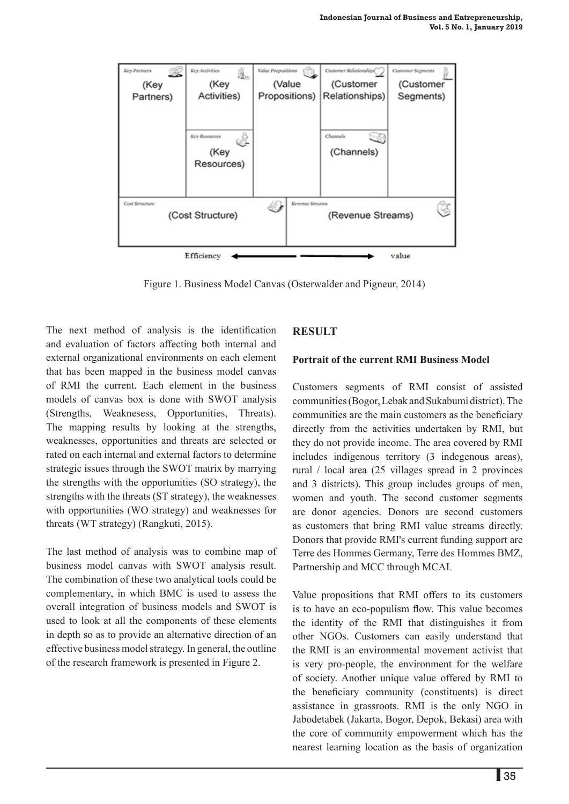

Figure 1. Business Model Canvas (Osterwalder and Pigneur, 2014)

The next method of analysis is the identification and evaluation of factors affecting both internal and external organizational environments on each element that has been mapped in the business model canvas of RMI the current. Each element in the business models of canvas box is done with SWOT analysis (Strengths, Weaknesess, Opportunities, Threats). The mapping results by looking at the strengths, weaknesses, opportunities and threats are selected or rated on each internal and external factors to determine strategic issues through the SWOT matrix by marrying the strengths with the opportunities (SO strategy), the strengths with the threats (ST strategy), the weaknesses with opportunities (WO strategy) and weaknesses for threats (WT strategy) (Rangkuti, 2015).

The last method of analysis was to combine map of business model canvas with SWOT analysis result. The combination of these two analytical tools could be complementary, in which BMC is used to assess the overall integration of business models and SWOT is used to look at all the components of these elements in depth so as to provide an alternative direction of an effective business model strategy. In general, the outline of the research framework is presented in Figure 2.

#### **RESULT**

#### **Portrait of the current RMI Business Model**

Customers segments of RMI consist of assisted communities (Bogor, Lebak and Sukabumi district). The communities are the main customers as the beneficiary directly from the activities undertaken by RMI, but they do not provide income. The area covered by RMI includes indigenous territory (3 indegenous areas), rural / local area (25 villages spread in 2 provinces and 3 districts). This group includes groups of men, women and youth. The second customer segments are donor agencies. Donors are second customers as customers that bring RMI value streams directly. Donors that provide RMI's current funding support are Terre des Hommes Germany, Terre des Hommes BMZ, Partnership and MCC through MCAI.

Value propositions that RMI offers to its customers is to have an eco-populism flow. This value becomes the identity of the RMI that distinguishes it from other NGOs. Customers can easily understand that the RMI is an environmental movement activist that is very pro-people, the environment for the welfare of society. Another unique value offered by RMI to the beneficiary community (constituents) is direct assistance in grassroots. RMI is the only NGO in Jabodetabek (Jakarta, Bogor, Depok, Bekasi) area with the core of community empowerment which has the nearest learning location as the basis of organization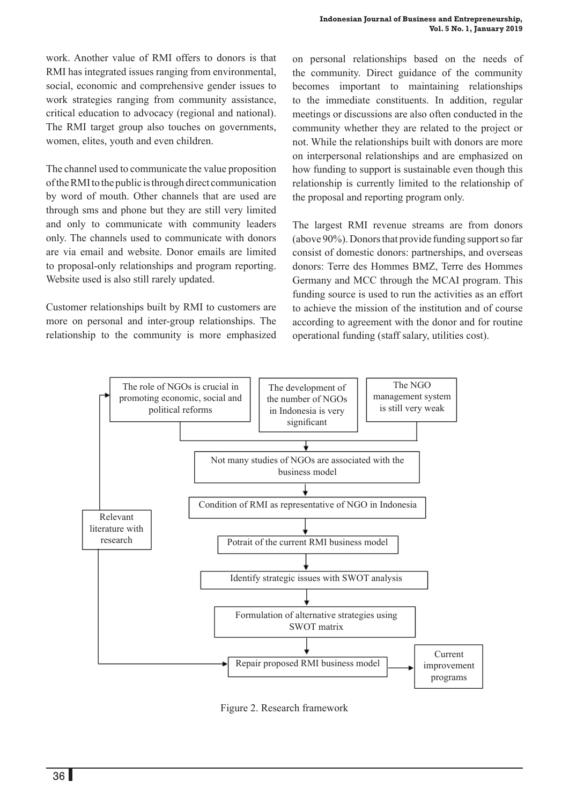work. Another value of RMI offers to donors is that RMI has integrated issues ranging from environmental, social, economic and comprehensive gender issues to work strategies ranging from community assistance, critical education to advocacy (regional and national). The RMI target group also touches on governments, women, elites, youth and even children.

The channel used to communicate the value proposition of the RMI to the public is through direct communication by word of mouth. Other channels that are used are through sms and phone but they are still very limited and only to communicate with community leaders only. The channels used to communicate with donors are via email and website. Donor emails are limited to proposal-only relationships and program reporting. Website used is also still rarely updated.

Customer relationships built by RMI to customers are more on personal and inter-group relationships. The relationship to the community is more emphasized on personal relationships based on the needs of the community. Direct guidance of the community becomes important to maintaining relationships to the immediate constituents. In addition, regular meetings or discussions are also often conducted in the community whether they are related to the project or not. While the relationships built with donors are more on interpersonal relationships and are emphasized on how funding to support is sustainable even though this relationship is currently limited to the relationship of the proposal and reporting program only.

The largest RMI revenue streams are from donors (above 90%). Donors that provide funding support so far consist of domestic donors: partnerships, and overseas donors: Terre des Hommes BMZ, Terre des Hommes Germany and MCC through the MCAI program. This funding source is used to run the activities as an effort to achieve the mission of the institution and of course according to agreement with the donor and for routine operational funding (staff salary, utilities cost).



Figure 2. Research framework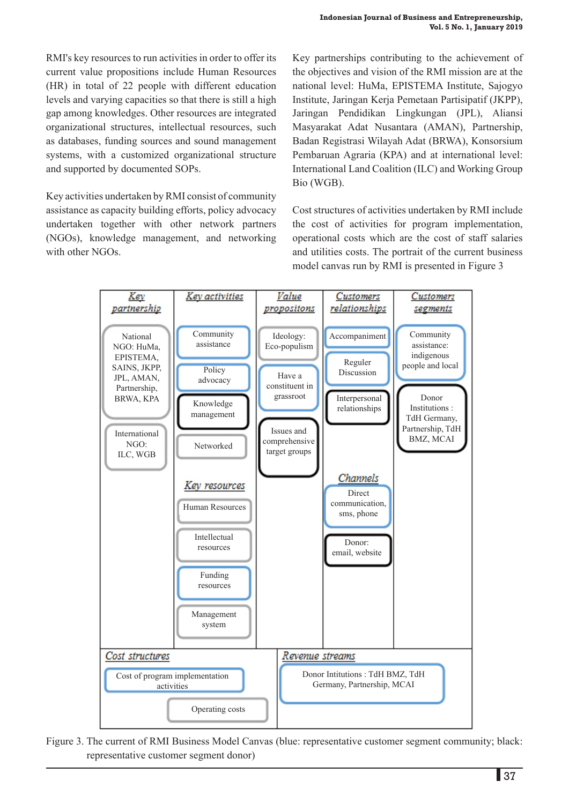RMI's key resources to run activities in order to offer its current value propositions include Human Resources (HR) in total of 22 people with different education levels and varying capacities so that there is still a high gap among knowledges. Other resources are integrated organizational structures, intellectual resources, such as databases, funding sources and sound management systems, with a customized organizational structure and supported by documented SOPs.

Key activities undertaken by RMI consist of community assistance as capacity building efforts, policy advocacy undertaken together with other network partners (NGOs), knowledge management, and networking with other NGOs.

Key partnerships contributing to the achievement of the objectives and vision of the RMI mission are at the national level: HuMa, EPISTEMA Institute, Sajogyo Institute, Jaringan Kerja Pemetaan Partisipatif (JKPP), Jaringan Pendidikan Lingkungan (JPL), Aliansi Masyarakat Adat Nusantara (AMAN), Partnership, Badan Registrasi Wilayah Adat (BRWA), Konsorsium Pembaruan Agraria (KPA) and at international level: International Land Coalition (ILC) and Working Group Bio (WGB).

Cost structures of activities undertaken by RMI include the cost of activities for program implementation, operational costs which are the cost of staff salaries and utilities costs. The portrait of the current business model canvas run by RMI is presented in Figure 3



Figure 3. The current of RMI Business Model Canvas (blue: representative customer segment community; black: representative customer segment donor)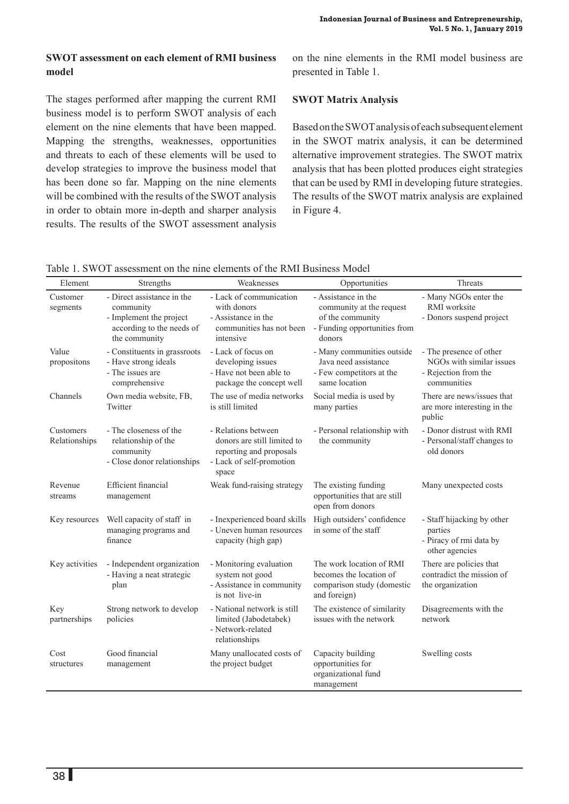# **SWOT assessment on each element of RMI business model**

The stages performed after mapping the current RMI business model is to perform SWOT analysis of each element on the nine elements that have been mapped. Mapping the strengths, weaknesses, opportunities and threats to each of these elements will be used to develop strategies to improve the business model that has been done so far. Mapping on the nine elements will be combined with the results of the SWOT analysis in order to obtain more in-depth and sharper analysis results. The results of the SWOT assessment analysis on the nine elements in the RMI model business are presented in Table 1.

#### **SWOT Matrix Analysis**

Based on the SWOT analysis of each subsequent element in the SWOT matrix analysis, it can be determined alternative improvement strategies. The SWOT matrix analysis that has been plotted produces eight strategies that can be used by RMI in developing future strategies. The results of the SWOT matrix analysis are explained in Figure 4.

Table 1. SWOT assessment on the nine elements of the RMI Business Model

| Element                    | Strengths                                                                                                        | Weaknesses                                                                                                         | Opportunities                                                                                                 | Threats                                                                                    |
|----------------------------|------------------------------------------------------------------------------------------------------------------|--------------------------------------------------------------------------------------------------------------------|---------------------------------------------------------------------------------------------------------------|--------------------------------------------------------------------------------------------|
| Customer<br>segments       | - Direct assistance in the<br>community<br>- Implement the project<br>according to the needs of<br>the community | - Lack of communication<br>with donors<br>- Assistance in the<br>communities has not been<br>intensive             | - Assistance in the<br>community at the request<br>of the community<br>- Funding opportunities from<br>donors | - Many NGOs enter the<br>RMI worksite<br>- Donors suspend project                          |
| Value<br>propositons       | - Constituents in grassroots<br>- Have strong ideals<br>- The issues are<br>comprehensive                        | - Lack of focus on<br>developing issues<br>- Have not been able to<br>package the concept well                     | - Many communities outside<br>Java need assistance<br>- Few competitors at the<br>same location               | - The presence of other<br>NGOs with similar issues<br>- Rejection from the<br>communities |
| Channels                   | Own media website, FB,<br>Twitter                                                                                | The use of media networks<br>is still limited                                                                      | Social media is used by<br>many parties                                                                       | There are news/issues that<br>are more interesting in the<br>public                        |
| Customers<br>Relationships | - The closeness of the<br>relationship of the<br>community<br>- Close donor relationships                        | - Relations between<br>donors are still limited to<br>reporting and proposals<br>- Lack of self-promotion<br>space | - Personal relationship with<br>the community                                                                 | - Donor distrust with RMI<br>- Personal/staff changes to<br>old donors                     |
| Revenue<br>streams         | <b>Efficient</b> financial<br>management                                                                         | Weak fund-raising strategy                                                                                         | The existing funding<br>opportunities that are still<br>open from donors                                      | Many unexpected costs                                                                      |
| Key resources              | Well capacity of staff in<br>managing programs and<br>finance                                                    | - Inexperienced board skills<br>- Uneven human resources<br>capacity (high gap)                                    | High outsiders' confidence<br>in some of the staff                                                            | - Staff hijacking by other<br>parties<br>- Piracy of rmi data by<br>other agencies         |
| Key activities             | - Independent organization<br>- Having a neat strategic<br>plan                                                  | - Monitoring evaluation<br>system not good<br>- Assistance in community<br>is not live-in                          | The work location of RMI<br>becomes the location of<br>comparison study (domestic<br>and foreign)             | There are policies that<br>contradict the mission of<br>the organization                   |
| Key<br>partnerships        | Strong network to develop<br>policies                                                                            | - National network is still<br>limited (Jabodetabek)<br>- Network-related<br>relationships                         | The existence of similarity<br>issues with the network                                                        | Disagreements with the<br>network                                                          |
| Cost<br>structures         | Good financial<br>management                                                                                     | Many unallocated costs of<br>the project budget                                                                    | Capacity building<br>opportunities for<br>organizational fund<br>management                                   | Swelling costs                                                                             |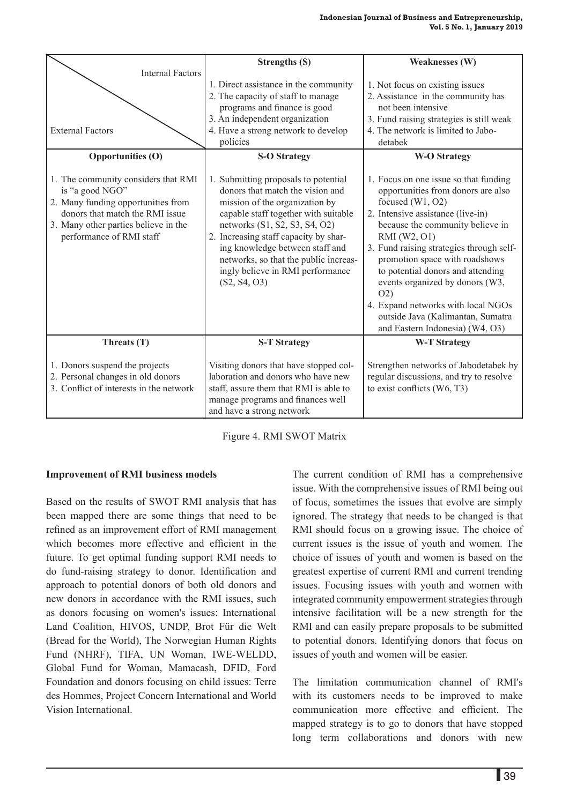|                                                                                                                                           | <b>Strengths (S)</b>                                                                                                                                                                             | <b>Weaknesses (W)</b>                                                                                                                                                                    |  |
|-------------------------------------------------------------------------------------------------------------------------------------------|--------------------------------------------------------------------------------------------------------------------------------------------------------------------------------------------------|------------------------------------------------------------------------------------------------------------------------------------------------------------------------------------------|--|
| <b>Internal Factors</b><br><b>External Factors</b>                                                                                        | 1. Direct assistance in the community<br>2. The capacity of staff to manage<br>programs and finance is good<br>3. An independent organization<br>4. Have a strong network to develop<br>policies | 1. Not focus on existing issues<br>2. Assistance in the community has<br>not been intensive<br>3. Fund raising strategies is still weak<br>4. The network is limited to Jabo-<br>detabek |  |
| <b>Opportunities (O)</b><br>1. The community considers that RMI<br>is "a good NGO"                                                        | <b>S-O Strategy</b><br>1. Submitting proposals to potential<br>donors that match the vision and                                                                                                  | <b>W-O Strategy</b><br>1. Focus on one issue so that funding<br>opportunities from donors are also                                                                                       |  |
| 2. Many funding opportunities from<br>donors that match the RMI issue<br>3. Many other parties believe in the<br>performance of RMI staff | mission of the organization by<br>capable staff together with suitable<br>networks (S1, S2, S3, S4, O2)<br>2. Increasing staff capacity by shar-                                                 | focused $(W1, O2)$<br>2. Intensive assistance (live-in)<br>because the community believe in<br>RMI (W2, O1)                                                                              |  |
|                                                                                                                                           | ing knowledge between staff and<br>networks, so that the public increas-<br>ingly believe in RMI performance<br>(S2, S4, O3)                                                                     | 3. Fund raising strategies through self-<br>promotion space with roadshows<br>to potential donors and attending<br>events organized by donors (W3,<br>O(2)                               |  |
|                                                                                                                                           |                                                                                                                                                                                                  | 4. Expand networks with local NGOs<br>outside Java (Kalimantan, Sumatra<br>and Eastern Indonesia) (W4, O3)                                                                               |  |
| Threats (T)                                                                                                                               | <b>S-T Strategy</b>                                                                                                                                                                              | <b>W-T Strategy</b>                                                                                                                                                                      |  |
| 1. Donors suspend the projects<br>2. Personal changes in old donors<br>3. Conflict of interests in the network                            | Visiting donors that have stopped col-<br>laboration and donors who have new<br>staff, assure them that RMI is able to<br>manage programs and finances well<br>and have a strong network         | Strengthen networks of Jabodetabek by<br>regular discussions, and try to resolve<br>to exist conflicts $(W6, T3)$                                                                        |  |

Figure 4. RMI SWOT Matrix

#### **Improvement of RMI business models**

Based on the results of SWOT RMI analysis that has been mapped there are some things that need to be refined as an improvement effort of RMI management which becomes more effective and efficient in the future. To get optimal funding support RMI needs to do fund-raising strategy to donor. Identification and approach to potential donors of both old donors and new donors in accordance with the RMI issues, such as donors focusing on women's issues: International Land Coalition, HIVOS, UNDP, Brot Für die Welt (Bread for the World), The Norwegian Human Rights Fund (NHRF), TIFA, UN Woman, IWE-WELDD, Global Fund for Woman, Mamacash, DFID, Ford Foundation and donors focusing on child issues: Terre des Hommes, Project Concern International and World Vision International.

The current condition of RMI has a comprehensive issue. With the comprehensive issues of RMI being out of focus, sometimes the issues that evolve are simply ignored. The strategy that needs to be changed is that RMI should focus on a growing issue. The choice of current issues is the issue of youth and women. The choice of issues of youth and women is based on the greatest expertise of current RMI and current trending issues. Focusing issues with youth and women with integrated community empowerment strategies through intensive facilitation will be a new strength for the RMI and can easily prepare proposals to be submitted to potential donors. Identifying donors that focus on issues of youth and women will be easier.

The limitation communication channel of RMI's with its customers needs to be improved to make communication more effective and efficient. The mapped strategy is to go to donors that have stopped long term collaborations and donors with new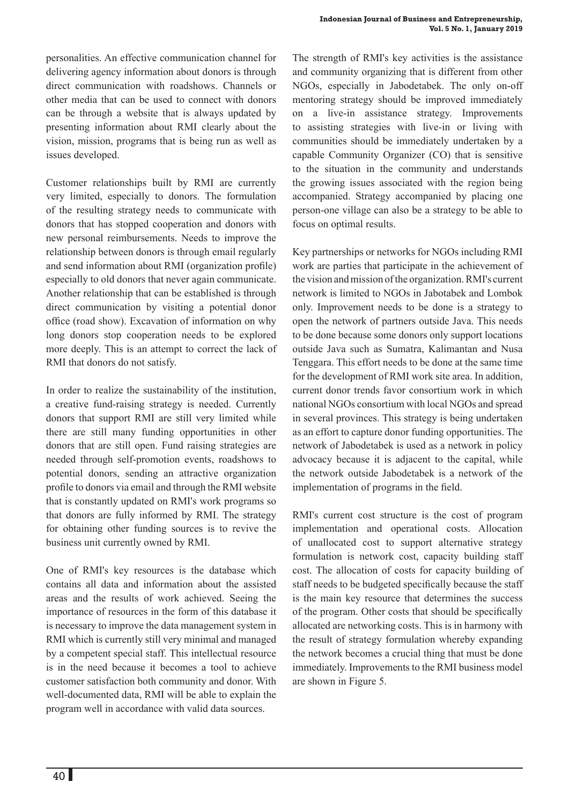personalities. An effective communication channel for delivering agency information about donors is through direct communication with roadshows. Channels or other media that can be used to connect with donors can be through a website that is always updated by presenting information about RMI clearly about the vision, mission, programs that is being run as well as issues developed.

Customer relationships built by RMI are currently very limited, especially to donors. The formulation of the resulting strategy needs to communicate with donors that has stopped cooperation and donors with new personal reimbursements. Needs to improve the relationship between donors is through email regularly and send information about RMI (organization profile) especially to old donors that never again communicate. Another relationship that can be established is through direct communication by visiting a potential donor office (road show). Excavation of information on why long donors stop cooperation needs to be explored more deeply. This is an attempt to correct the lack of RMI that donors do not satisfy.

In order to realize the sustainability of the institution, a creative fund-raising strategy is needed. Currently donors that support RMI are still very limited while there are still many funding opportunities in other donors that are still open. Fund raising strategies are needed through self-promotion events, roadshows to potential donors, sending an attractive organization profile to donors via email and through the RMI website that is constantly updated on RMI's work programs so that donors are fully informed by RMI. The strategy for obtaining other funding sources is to revive the business unit currently owned by RMI.

One of RMI's key resources is the database which contains all data and information about the assisted areas and the results of work achieved. Seeing the importance of resources in the form of this database it is necessary to improve the data management system in RMI which is currently still very minimal and managed by a competent special staff. This intellectual resource is in the need because it becomes a tool to achieve customer satisfaction both community and donor. With well-documented data, RMI will be able to explain the program well in accordance with valid data sources.

The strength of RMI's key activities is the assistance and community organizing that is different from other NGOs, especially in Jabodetabek. The only on-off mentoring strategy should be improved immediately on a live-in assistance strategy. Improvements to assisting strategies with live-in or living with communities should be immediately undertaken by a capable Community Organizer (CO) that is sensitive to the situation in the community and understands the growing issues associated with the region being accompanied. Strategy accompanied by placing one person-one village can also be a strategy to be able to focus on optimal results.

Key partnerships or networks for NGOs including RMI work are parties that participate in the achievement of the vision and mission of the organization. RMI's current network is limited to NGOs in Jabotabek and Lombok only. Improvement needs to be done is a strategy to open the network of partners outside Java. This needs to be done because some donors only support locations outside Java such as Sumatra, Kalimantan and Nusa Tenggara. This effort needs to be done at the same time for the development of RMI work site area. In addition, current donor trends favor consortium work in which national NGOs consortium with local NGOs and spread in several provinces. This strategy is being undertaken as an effort to capture donor funding opportunities. The network of Jabodetabek is used as a network in policy advocacy because it is adjacent to the capital, while the network outside Jabodetabek is a network of the implementation of programs in the field.

RMI's current cost structure is the cost of program implementation and operational costs. Allocation of unallocated cost to support alternative strategy formulation is network cost, capacity building staff cost. The allocation of costs for capacity building of staff needs to be budgeted specifically because the staff is the main key resource that determines the success of the program. Other costs that should be specifically allocated are networking costs. This is in harmony with the result of strategy formulation whereby expanding the network becomes a crucial thing that must be done immediately. Improvements to the RMI business model are shown in Figure 5.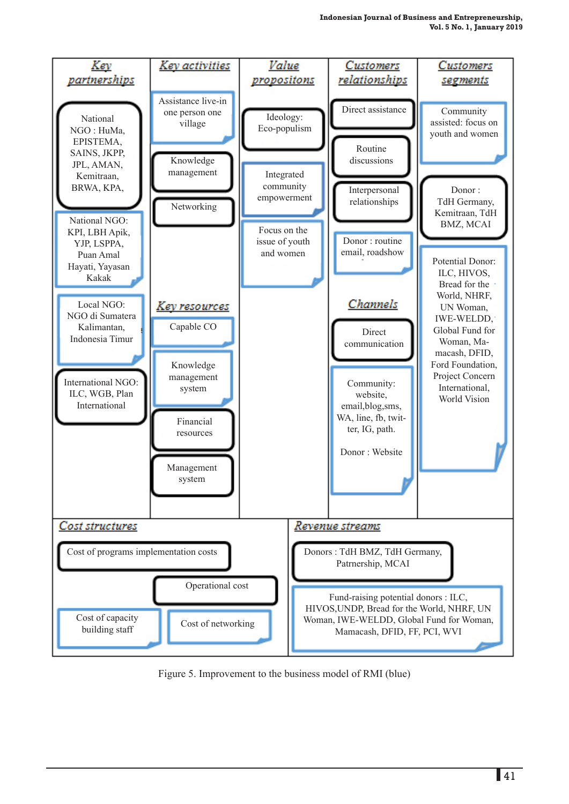

Figure 5. Improvement to the business model of RMI (blue)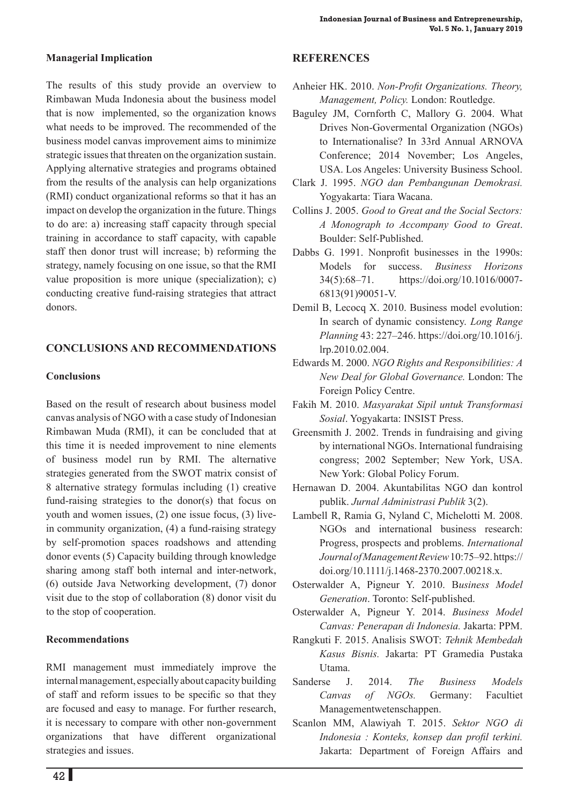#### **Managerial Implication**

The results of this study provide an overview to Rimbawan Muda Indonesia about the business model that is now implemented, so the organization knows what needs to be improved. The recommended of the business model canvas improvement aims to minimize strategic issues that threaten on the organization sustain. Applying alternative strategies and programs obtained from the results of the analysis can help organizations (RMI) conduct organizational reforms so that it has an impact on develop the organization in the future. Things to do are: a) increasing staff capacity through special training in accordance to staff capacity, with capable staff then donor trust will increase; b) reforming the strategy, namely focusing on one issue, so that the RMI value proposition is more unique (specialization); c) conducting creative fund-raising strategies that attract donors.

#### **CONCLUSIONS AND RECOMMENDATIONS**

#### **Conclusions**

Based on the result of research about business model canvas analysis of NGO with a case study of Indonesian Rimbawan Muda (RMI), it can be concluded that at this time it is needed improvement to nine elements of business model run by RMI. The alternative strategies generated from the SWOT matrix consist of 8 alternative strategy formulas including (1) creative fund-raising strategies to the donor(s) that focus on youth and women issues, (2) one issue focus, (3) livein community organization, (4) a fund-raising strategy by self-promotion spaces roadshows and attending donor events (5) Capacity building through knowledge sharing among staff both internal and inter-network, (6) outside Java Networking development, (7) donor visit due to the stop of collaboration (8) donor visit du to the stop of cooperation.

#### **Recommendations**

RMI management must immediately improve the internal management, especially about capacity building of staff and reform issues to be specific so that they are focused and easy to manage. For further research, it is necessary to compare with other non-government organizations that have different organizational strategies and issues.

# **REFERENCES**

- Anheier HK. 2010. *Non-Profit Organizations. Theory, Management, Policy.* London: Routledge.
- Baguley JM, Cornforth C, Mallory G. 2004. What Drives Non-Govermental Organization (NGOs) to Internationalise? In 33rd Annual ARNOVA Conference; 2014 November; Los Angeles, USA. Los Angeles: University Business School.
- Clark J. 1995. *NGO dan Pembangunan Demokrasi.*  Yogyakarta: Tiara Wacana.
- Collins J. 2005. *Good to Great and the Social Sectors: A Monograph to Accompany Good to Great*. Boulder: Self-Published.
- Dabbs G. 1991. Nonprofit businesses in the 1990s: Models for success. *Business Horizons* 34(5):68–71. https://doi.org/10.1016/0007- 6813(91)90051-V.
- Demil B, Lecocq X. 2010. Business model evolution: In search of dynamic consistency. *Long Range Planning* 43: 227–246. https://doi.org/10.1016/j. lrp.2010.02.004.
- Edwards M. 2000. *NGO Rights and Responsibilities: A New Deal for Global Governance.* London: The Foreign Policy Centre.
- Fakih M. 2010. *Masyarakat Sipil untuk Transformasi Sosial*. Yogyakarta: INSIST Press.
- Greensmith J. 2002. Trends in fundraising and giving by international NGOs. International fundraising congress; 2002 September; New York, USA. New York: Global Policy Forum.
- Hernawan D. 2004. Akuntabilitas NGO dan kontrol publik. *Jurnal Administrasi Publik* 3(2).
- Lambell R, Ramia G, Nyland C, Michelotti M. 2008. NGOs and international business research: Progress, prospects and problems. *International Journal of Management Review* 10:75–92. https:// doi.org/10.1111/j.1468-2370.2007.00218.x.
- Osterwalder A, Pigneur Y. 2010. B*usiness Model Generation*. Toronto: Self-published.
- Osterwalder A, Pigneur Y. 2014. *Business Model Canvas: Penerapan di Indonesia.* Jakarta: PPM.
- Rangkuti F. 2015. Analisis SWOT: *Tehnik Membedah Kasus Bisnis.* Jakarta: PT Gramedia Pustaka Utama.
- Sanderse J. 2014. *The Business Models Canvas of NGOs.* Germany: Facultiet Managementwetenschappen.
- Scanlon MM, Alawiyah T. 2015. *Sektor NGO di Indonesia : Konteks, konsep dan profil terkini.* Jakarta: Department of Foreign Affairs and